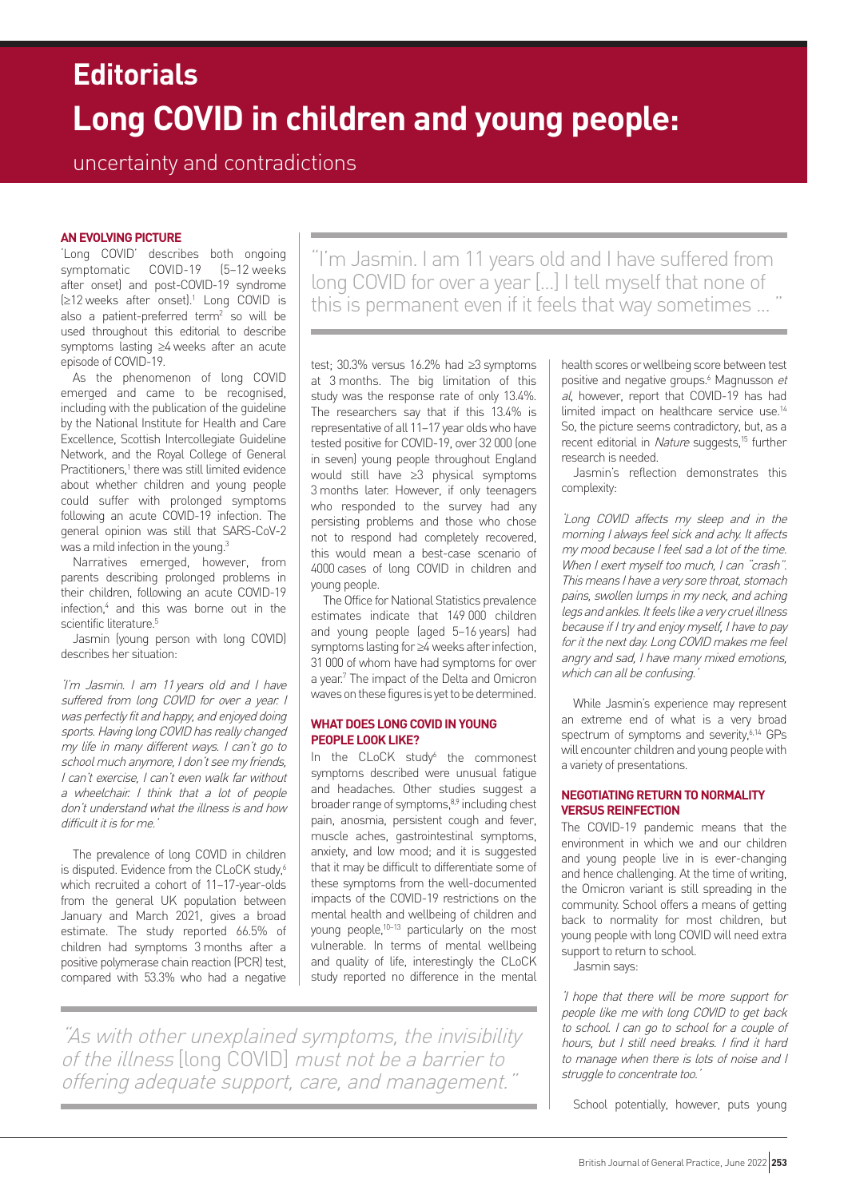# **Long COVID in children and young people: Editorials**

# uncertainty and contradictions

# **AN EVOLVING PICTURE**

'Long COVID' describes both ongoing symptomatic COVID-19 (5–12 weeks after onset) and post-COVID-19 syndrome (≥12 weeks after onset).1 Long COVID is also a patient-preferred term2 so will be used throughout this editorial to describe symptoms lasting ≥4 weeks after an acute episode of COVID-19.

As the phenomenon of long COVID emerged and came to be recognised, including with the publication of the guideline by the National Institute for Health and Care Excellence, Scottish Intercollegiate Guideline Network, and the Royal College of General Practitioners,<sup>1</sup> there was still limited evidence about whether children and young people could suffer with prolonged symptoms following an acute COVID-19 infection. The general opinion was still that SARS-CoV-2 was a mild infection in the young.<sup>3</sup>

Narratives emerged, however, from parents describing prolonged problems in their children, following an acute COVID-19 infection,4 and this was borne out in the scientific literature.<sup>5</sup>

Jasmin (young person with long COVID) describes her situation:

'I'm Jasmin. I am 11 years old and I have suffered from long COVID for over a year. I was perfectly fit and happy, and enjoyed doing sports. Having long COVID has really changed my life in many different ways. I can't go to school much anymore, I don't see my friends, I can't exercise, I can't even walk far without a wheelchair. I think that a lot of people don't understand what the illness is and how difficult it is for me.

The prevalence of long COVID in children is disputed. Evidence from the CLoCK study,<sup>6</sup> which recruited a cohort of 11–17-year-olds from the general UK population between January and March 2021, gives a broad estimate. The study reported 66.5% of children had symptoms 3 months after a positive polymerase chain reaction (PCR) test, compared with 53.3% who had a negative

"I'm Jasmin. I am 11 years old and I have suffered from long COVID for over a year [...] I tell myself that none of this is permanent even if it feels that way sometimes ...

test; 30.3% versus 16.2% had ≥3 symptoms at 3 months. The big limitation of this study was the response rate of only 13.4%. The researchers say that if this 13.4% is representative of all 11–17 year olds who have tested positive for COVID-19, over 32 000 (one in seven) young people throughout England would still have ≥3 physical symptoms 3 months later. However, if only teenagers who responded to the survey had any persisting problems and those who chose not to respond had completely recovered, this would mean a best-case scenario of 4000 cases of long COVID in children and young people.

The Office for National Statistics prevalence estimates indicate that 149 000 children and young people (aged 5–16 years) had symptoms lasting for ≥4 weeks after infection, 31 000 of whom have had symptoms for over a year.7 The impact of the Delta and Omicron waves on these figures is yet to be determined.

# **WHAT DOES LONG COVID IN YOUNG PEOPLE LOOK LIKE?**

In the CLoCK study<sup>6</sup> the commonest symptoms described were unusual fatigue and headaches. Other studies suggest a broader range of symptoms,<sup>8,9</sup> including chest pain, anosmia, persistent cough and fever, muscle aches, gastrointestinal symptoms, anxiety, and low mood; and it is suggested that it may be difficult to differentiate some of these symptoms from the well-documented impacts of the COVID-19 restrictions on the mental health and wellbeing of children and young people,<sup>10-13</sup> particularly on the most vulnerable. In terms of mental wellbeing and quality of life, interestingly the CLoCK study reported no difference in the mental

health scores or wellbeing score between test positive and negative groups.<sup>6</sup> Magnusson et al, however, report that COVID-19 has had limited impact on healthcare service use.<sup>14</sup> So, the picture seems contradictory, but, as a recent editorial in Nature suggests,<sup>15</sup> further research is needed.

Jasmin's reflection demonstrates this complexity:

'Long COVID affects my sleep and in the morning I always feel sick and achy. It affects my mood because I feel sad a lot of the time. When I exert myself too much, I can "crash". This means I have a very sore throat, stomach pains, swollen lumps in my neck, and aching legs and ankles. It feels like a very cruel illness because if I try and enjoy myself, I have to pay for it the next day. Long COVID makes me feel angry and sad, I have many mixed emotions, which can all be confusing.

While Jasmin's experience may represent an extreme end of what is a very broad spectrum of symptoms and severity,<sup>6,14</sup> GPs will encounter children and young people with a variety of presentations.

## **NEGOTIATING RETURN TO NORMALITY VERSUS REINFECTION**

The COVID-19 pandemic means that the environment in which we and our children and young people live in is ever-changing and hence challenging. At the time of writing, the Omicron variant is still spreading in the community. School offers a means of getting back to normality for most children, but young people with long COVID will need extra support to return to school.

Jasmin says:

'I hope that there will be more support for people like me with long COVID to get back to school. I can go to school for a couple of hours, but I still need breaks. I find it hard to manage when there is lots of noise and I struggle to concentrate too.'

School potentially, however, puts young

"As with other unexplained symptoms, the invisibility of the illness [long COVID] must not be a barrier to offering adequate support, care, and management."